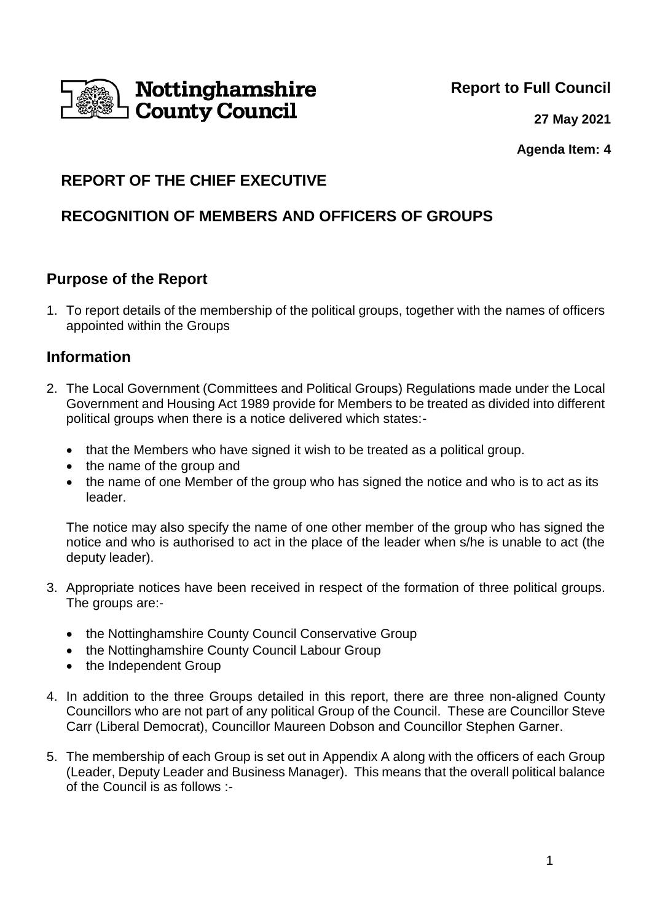

**Report to Full Council**

**27 May 2021**

**Agenda Item: 4**

# **REPORT OF THE CHIEF EXECUTIVE**

# **RECOGNITION OF MEMBERS AND OFFICERS OF GROUPS**

# **Purpose of the Report**

1. To report details of the membership of the political groups, together with the names of officers appointed within the Groups

# **Information**

- 2. The Local Government (Committees and Political Groups) Regulations made under the Local Government and Housing Act 1989 provide for Members to be treated as divided into different political groups when there is a notice delivered which states:-
	- that the Members who have signed it wish to be treated as a political group.
	- the name of the group and
	- the name of one Member of the group who has signed the notice and who is to act as its leader.

The notice may also specify the name of one other member of the group who has signed the notice and who is authorised to act in the place of the leader when s/he is unable to act (the deputy leader).

- 3. Appropriate notices have been received in respect of the formation of three political groups. The groups are:-
	- the Nottinghamshire County Council Conservative Group
	- the Nottinghamshire County Council Labour Group
	- the Independent Group
- 4. In addition to the three Groups detailed in this report, there are three non-aligned County Councillors who are not part of any political Group of the Council. These are Councillor Steve Carr (Liberal Democrat), Councillor Maureen Dobson and Councillor Stephen Garner.
- 5. The membership of each Group is set out in Appendix A along with the officers of each Group (Leader, Deputy Leader and Business Manager). This means that the overall political balance of the Council is as follows :-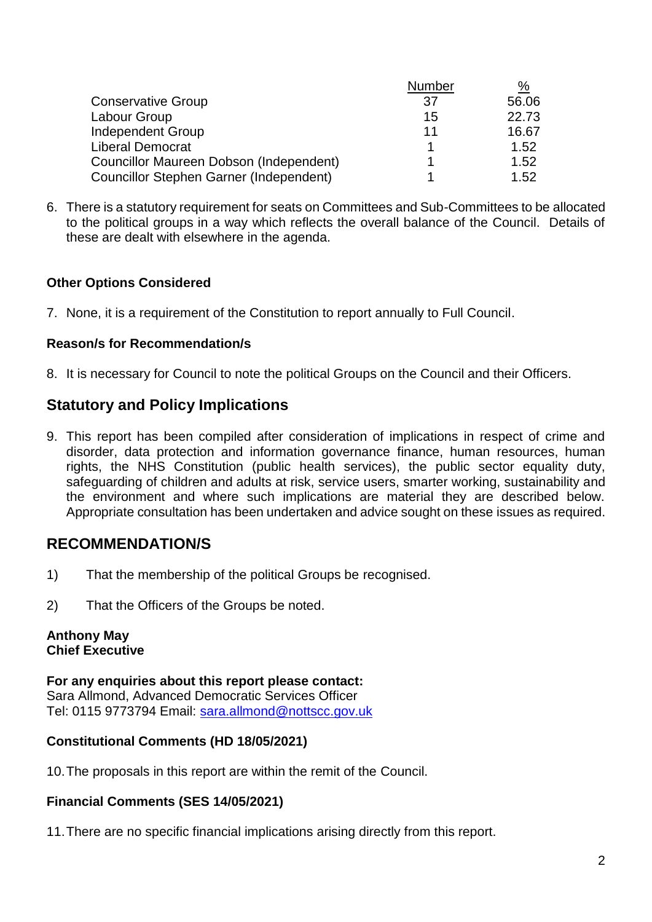|                                         | Number | %     |
|-----------------------------------------|--------|-------|
| <b>Conservative Group</b>               | 37     | 56.06 |
| Labour Group                            | 15     | 22.73 |
| <b>Independent Group</b>                | 11     | 16.67 |
| <b>Liberal Democrat</b>                 |        | 1.52  |
| Councillor Maureen Dobson (Independent) |        | 1.52  |
| Councillor Stephen Garner (Independent) |        | 1.52  |

6. There is a statutory requirement for seats on Committees and Sub-Committees to be allocated to the political groups in a way which reflects the overall balance of the Council. Details of these are dealt with elsewhere in the agenda.

### **Other Options Considered**

7. None, it is a requirement of the Constitution to report annually to Full Council.

### **Reason/s for Recommendation/s**

8. It is necessary for Council to note the political Groups on the Council and their Officers.

# **Statutory and Policy Implications**

9. This report has been compiled after consideration of implications in respect of crime and disorder, data protection and information governance finance, human resources, human rights, the NHS Constitution (public health services), the public sector equality duty, safeguarding of children and adults at risk, service users, smarter working, sustainability and the environment and where such implications are material they are described below. Appropriate consultation has been undertaken and advice sought on these issues as required.

# **RECOMMENDATION/S**

- 1) That the membership of the political Groups be recognised.
- 2) That the Officers of the Groups be noted.

#### **Anthony May Chief Executive**

**For any enquiries about this report please contact:** Sara Allmond, Advanced Democratic Services Officer Tel: 0115 9773794 Email: [sara.allmond@nottscc.gov.uk](mailto:sara.allmond@nottscc.gov.uk)

### **Constitutional Comments (HD 18/05/2021)**

10.The proposals in this report are within the remit of the Council.

### **Financial Comments (SES 14/05/2021)**

11.There are no specific financial implications arising directly from this report.